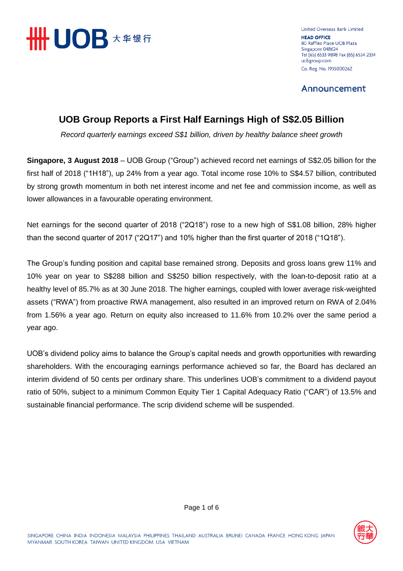

United Overseas Bank Limited **HEAD OFFICE** 80 Raffles Place UOB Plaza Singapore 048624 Tel (65) 6533 9898 Fax (65) 6534 2334 uobgroup.com Co. Reg. No. 193500026Z

Announcement

# **UOB Group Reports a First Half Earnings High of S\$2.05 Billion**

*Record quarterly earnings exceed S\$1 billion, driven by healthy balance sheet growth*

**Singapore, 3 August 2018** – UOB Group ("Group") achieved record net earnings of S\$2.05 billion for the first half of 2018 ("1H18"), up 24% from a year ago. Total income rose 10% to S\$4.57 billion, contributed by strong growth momentum in both net interest income and net fee and commission income, as well as lower allowances in a favourable operating environment.

Net earnings for the second quarter of 2018 ("2Q18") rose to a new high of S\$1.08 billion, 28% higher than the second quarter of 2017 ("2Q17") and 10% higher than the first quarter of 2018 ("1Q18").

The Group's funding position and capital base remained strong. Deposits and gross loans grew 11% and 10% year on year to S\$288 billion and S\$250 billion respectively, with the loan-to-deposit ratio at a healthy level of 85.7% as at 30 June 2018. The higher earnings, coupled with lower average risk-weighted assets ("RWA") from proactive RWA management, also resulted in an improved return on RWA of 2.04% from 1.56% a year ago. Return on equity also increased to 11.6% from 10.2% over the same period a year ago.

UOB's dividend policy aims to balance the Group's capital needs and growth opportunities with rewarding shareholders. With the encouraging earnings performance achieved so far, the Board has declared an interim dividend of 50 cents per ordinary share. This underlines UOB's commitment to a dividend payout ratio of 50%, subject to a minimum Common Equity Tier 1 Capital Adequacy Ratio ("CAR") of 13.5% and sustainable financial performance. The scrip dividend scheme will be suspended.

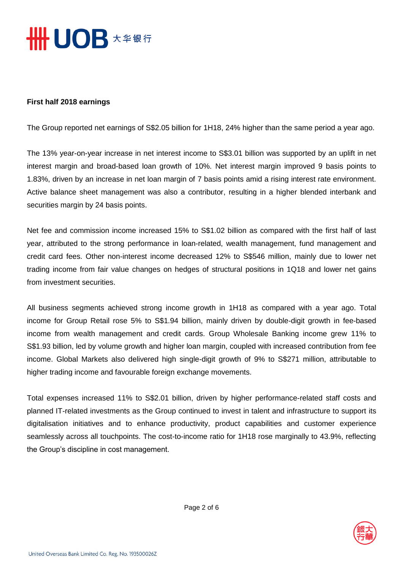

#### **First half 2018 earnings**

The Group reported net earnings of S\$2.05 billion for 1H18, 24% higher than the same period a year ago.

The 13% year-on-year increase in net interest income to S\$3.01 billion was supported by an uplift in net interest margin and broad-based loan growth of 10%. Net interest margin improved 9 basis points to 1.83%, driven by an increase in net loan margin of 7 basis points amid a rising interest rate environment. Active balance sheet management was also a contributor, resulting in a higher blended interbank and securities margin by 24 basis points.

Net fee and commission income increased 15% to S\$1.02 billion as compared with the first half of last year, attributed to the strong performance in loan-related, wealth management, fund management and credit card fees. Other non-interest income decreased 12% to S\$546 million, mainly due to lower net trading income from fair value changes on hedges of structural positions in 1Q18 and lower net gains from investment securities.

All business segments achieved strong income growth in 1H18 as compared with a year ago. Total income for Group Retail rose 5% to S\$1.94 billion, mainly driven by double-digit growth in fee-based income from wealth management and credit cards. Group Wholesale Banking income grew 11% to S\$1.93 billion, led by volume growth and higher loan margin, coupled with increased contribution from fee income. Global Markets also delivered high single-digit growth of 9% to S\$271 million, attributable to higher trading income and favourable foreign exchange movements.

Total expenses increased 11% to S\$2.01 billion, driven by higher performance-related staff costs and planned IT-related investments as the Group continued to invest in talent and infrastructure to support its digitalisation initiatives and to enhance productivity, product capabilities and customer experience seamlessly across all touchpoints. The cost-to-income ratio for 1H18 rose marginally to 43.9%, reflecting the Group's discipline in cost management.

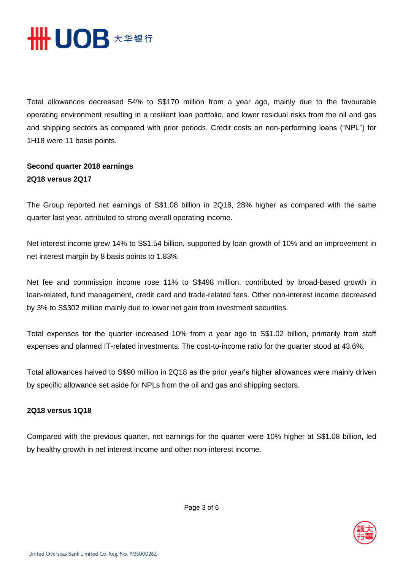

Total allowances decreased 54% to S\$170 million from a year ago, mainly due to the favourable operating environment resulting in a resilient loan portfolio, and lower residual risks from the oil and gas and shipping sectors as compared with prior periods. Credit costs on non-performing loans ("NPL") for 1H18 were 11 basis points.

## **Second quarter 2018 earnings 2Q18 versus 2Q17**

The Group reported net earnings of S\$1.08 billion in 2Q18, 28% higher as compared with the same quarter last year, attributed to strong overall operating income.

Net interest income grew 14% to S\$1.54 billion, supported by loan growth of 10% and an improvement in net interest margin by 8 basis points to 1.83%

Net fee and commission income rose 11% to S\$498 million, contributed by broad-based growth in loan-related, fund management, credit card and trade-related fees. Other non-interest income decreased by 3% to S\$302 million mainly due to lower net gain from investment securities.

Total expenses for the quarter increased 10% from a year ago to S\$1.02 billion, primarily from staff expenses and planned IT-related investments. The cost-to-income ratio for the quarter stood at 43.6%.

Total allowances halved to S\$90 million in 2Q18 as the prior year's higher allowances were mainly driven by specific allowance set aside for NPLs from the oil and gas and shipping sectors.

### **2Q18 versus 1Q18**

Compared with the previous quarter, net earnings for the quarter were 10% higher at S\$1.08 billion, led by healthy growth in net interest income and other non-interest income.

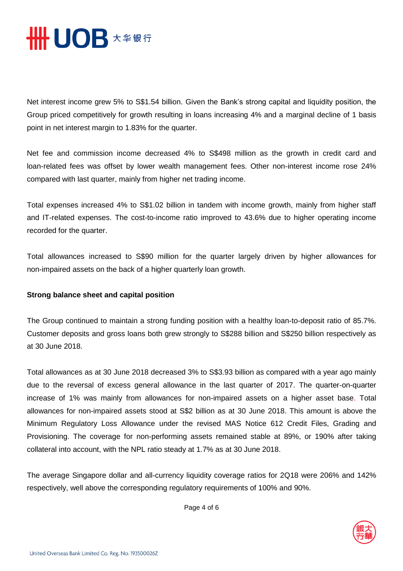

Net interest income grew 5% to S\$1.54 billion. Given the Bank's strong capital and liquidity position, the Group priced competitively for growth resulting in loans increasing 4% and a marginal decline of 1 basis point in net interest margin to 1.83% for the quarter.

Net fee and commission income decreased 4% to S\$498 million as the growth in credit card and loan-related fees was offset by lower wealth management fees. Other non-interest income rose 24% compared with last quarter, mainly from higher net trading income.

Total expenses increased 4% to S\$1.02 billion in tandem with income growth, mainly from higher staff and IT-related expenses. The cost-to-income ratio improved to 43.6% due to higher operating income recorded for the quarter.

Total allowances increased to S\$90 million for the quarter largely driven by higher allowances for non-impaired assets on the back of a higher quarterly loan growth.

#### **Strong balance sheet and capital position**

The Group continued to maintain a strong funding position with a healthy loan-to-deposit ratio of 85.7%. Customer deposits and gross loans both grew strongly to S\$288 billion and S\$250 billion respectively as at 30 June 2018.

Total allowances as at 30 June 2018 decreased 3% to S\$3.93 billion as compared with a year ago mainly due to the reversal of excess general allowance in the last quarter of 2017. The quarter-on-quarter increase of 1% was mainly from allowances for non-impaired assets on a higher asset base. Total allowances for non-impaired assets stood at S\$2 billion as at 30 June 2018. This amount is above the Minimum Regulatory Loss Allowance under the revised MAS Notice 612 Credit Files, Grading and Provisioning. The coverage for non-performing assets remained stable at 89%, or 190% after taking collateral into account, with the NPL ratio steady at 1.7% as at 30 June 2018.

The average Singapore dollar and all-currency liquidity coverage ratios for 2Q18 were 206% and 142% respectively, well above the corresponding regulatory requirements of 100% and 90%.

Page 4 of 6

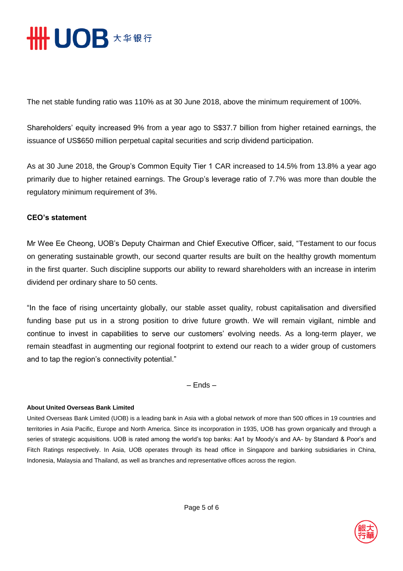

The net stable funding ratio was 110% as at 30 June 2018, above the minimum requirement of 100%.

Shareholders' equity increased 9% from a year ago to S\$37.7 billion from higher retained earnings, the issuance of US\$650 million perpetual capital securities and scrip dividend participation.

As at 30 June 2018, the Group's Common Equity Tier 1 CAR increased to 14.5% from 13.8% a year ago primarily due to higher retained earnings. The Group's leverage ratio of 7.7% was more than double the regulatory minimum requirement of 3%.

#### **CEO's statement**

Mr Wee Ee Cheong, UOB's Deputy Chairman and Chief Executive Officer, said, "Testament to our focus on generating sustainable growth, our second quarter results are built on the healthy growth momentum in the first quarter. Such discipline supports our ability to reward shareholders with an increase in interim dividend per ordinary share to 50 cents.

"In the face of rising uncertainty globally, our stable asset quality, robust capitalisation and diversified funding base put us in a strong position to drive future growth. We will remain vigilant, nimble and continue to invest in capabilities to serve our customers' evolving needs. As a long-term player, we remain steadfast in augmenting our regional footprint to extend our reach to a wider group of customers and to tap the region's connectivity potential."

– Ends –

#### **About United Overseas Bank Limited**

United Overseas Bank Limited (UOB) is a leading bank in Asia with a global network of more than 500 offices in 19 countries and territories in Asia Pacific, Europe and North America. Since its incorporation in 1935, UOB has grown organically and through a series of strategic acquisitions. UOB is rated among the world's top banks: Aa1 by Moody's and AA- by Standard & Poor's and Fitch Ratings respectively. In Asia, UOB operates through its head office in Singapore and banking subsidiaries in China, Indonesia, Malaysia and Thailand, as well as branches and representative offices across the region.